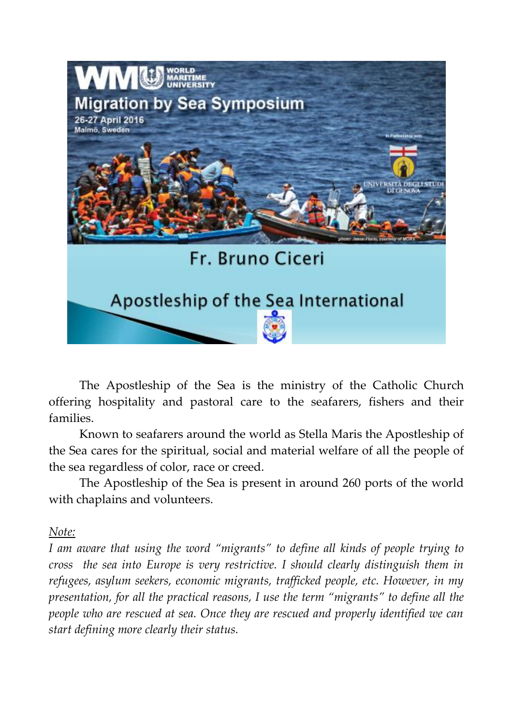

The Apostleship of the Sea is the ministry of the Catholic Church offering hospitality and pastoral care to the seafarers, fishers and their families.

Known to seafarers around the world as Stella Maris the Apostleship of the Sea cares for the spiritual, social and material welfare of all the people of the sea regardless of color, race or creed.

The Apostleship of the Sea is present in around 260 ports of the world with chaplains and volunteers.

### *Note:*

*I am aware that using the word "migrants" to define all kinds of people trying to cross the sea into Europe is very restrictive. I should clearly distinguish them in refugees, asylum seekers, economic migrants, trafficked people, etc. However, in my presentation, for all the practical reasons, I use the term "migrants" to define all the people who are rescued at sea. Once they are rescued and properly identified we can start defining more clearly their status.*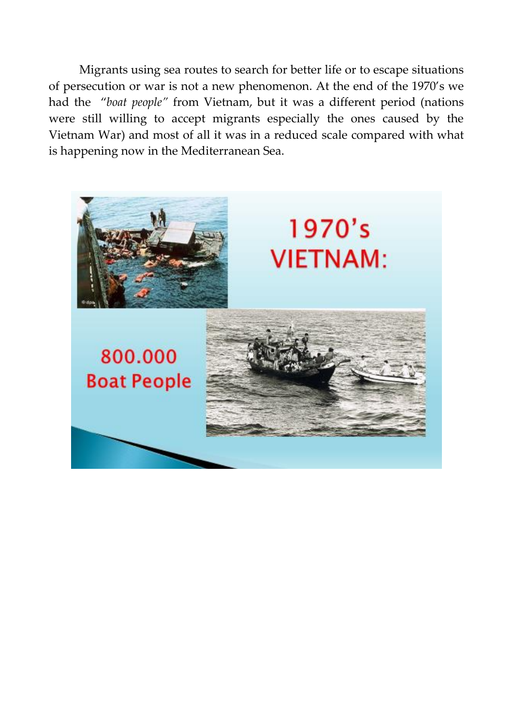Migrants using sea routes to search for better life or to escape situations of persecution or war is not a new phenomenon. At the end of the 1970's we had the "*boat people"* from Vietnam, but it was a different period (nations were still willing to accept migrants especially the ones caused by the Vietnam War) and most of all it was in a reduced scale compared with what is happening now in the Mediterranean Sea.

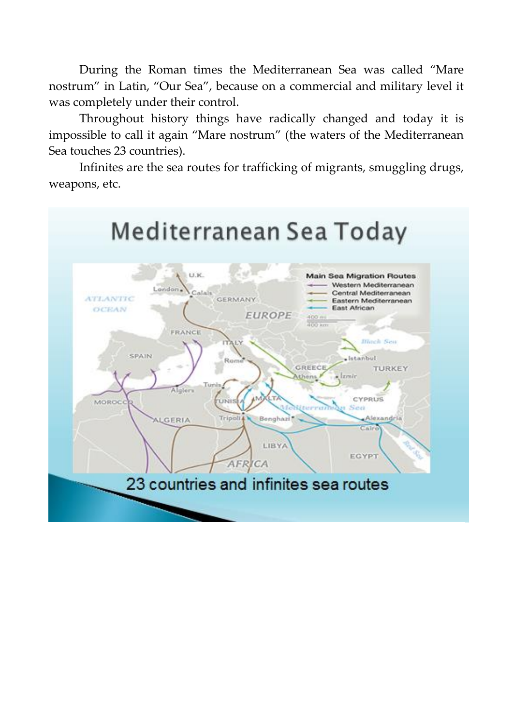During the Roman times the Mediterranean Sea was called "Mare nostrum" in Latin, "Our Sea", because on a commercial and military level it was completely under their control.

Throughout history things have radically changed and today it is impossible to call it again "Mare nostrum" (the waters of the Mediterranean Sea touches 23 countries).

Infinites are the sea routes for trafficking of migrants, smuggling drugs, weapons, etc.

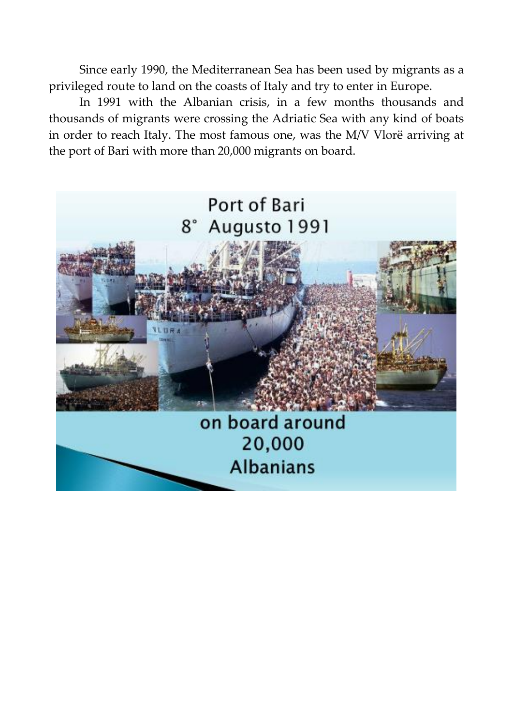Since early 1990, the Mediterranean Sea has been used by migrants as a privileged route to land on the coasts of Italy and try to enter in Europe.

In 1991 with the Albanian crisis, in a few months thousands and thousands of migrants were crossing the Adriatic Sea with any kind of boats in order to reach Italy. The most famous one, was the M/V Vlorë arriving at the port of Bari with more than 20,000 migrants on board.

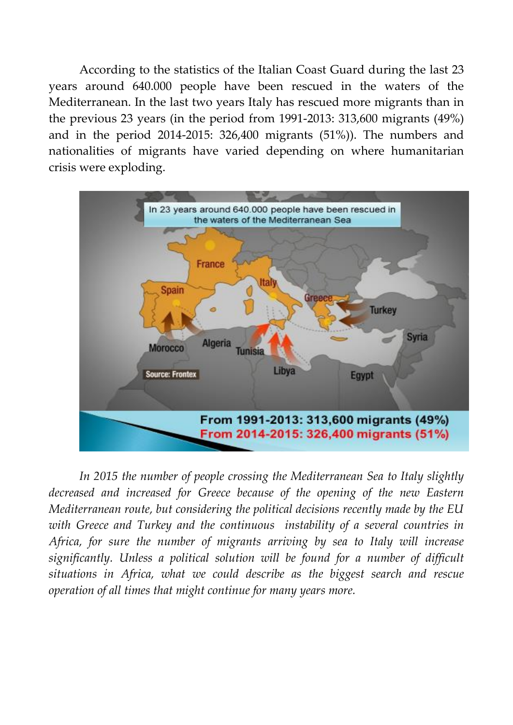According to the statistics of the Italian Coast Guard during the last 23 years around 640.000 people have been rescued in the waters of the Mediterranean. In the last two years Italy has rescued more migrants than in the previous 23 years (in the period from 1991-2013: 313,600 migrants (49%) and in the period 2014-2015: 326,400 migrants (51%)). The numbers and nationalities of migrants have varied depending on where humanitarian crisis were exploding.



*In 2015 the number of people crossing the Mediterranean Sea to Italy slightly decreased and increased for Greece because of the opening of the new Eastern Mediterranean route, but considering the political decisions recently made by the EU with Greece and Turkey and the continuous instability of a several countries in Africa, for sure the number of migrants arriving by sea to Italy will increase significantly. Unless a political solution will be found for a number of difficult situations in Africa, what we could describe as the biggest search and rescue operation of all times that might continue for many years more.*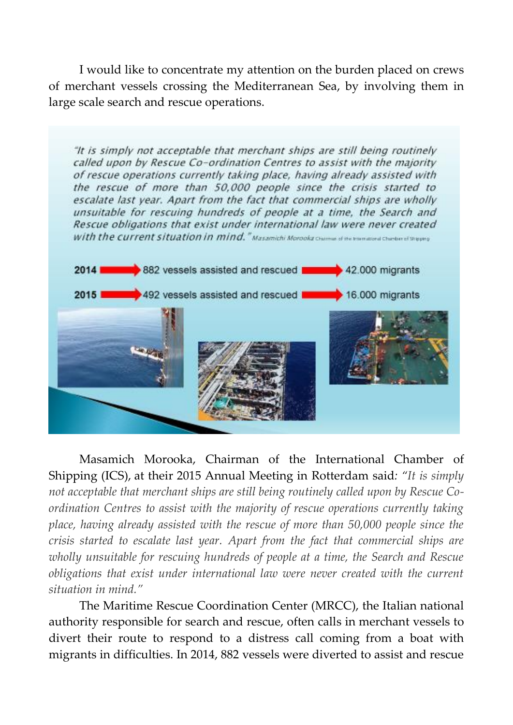I would like to concentrate my attention on the burden placed on crews of merchant vessels crossing the Mediterranean Sea, by involving them in large scale search and rescue operations.

"It is simply not acceptable that merchant ships are still being routinely called upon by Rescue Co-ordination Centres to assist with the majority of rescue operations currently taking place, having already assisted with the rescue of more than 50,000 people since the crisis started to escalate last year. Apart from the fact that commercial ships are wholly unsuitable for rescuing hundreds of people at a time, the Search and Rescue obligations that exist under international law were never created with the current situation in mind." Masamichi Morocka chamas el the Immaterial Charlen of Shapes



Masamich Morooka, Chairman of the International Chamber of Shipping (ICS), at their 2015 Annual Meeting in Rotterdam said*: "It is simply not acceptable that merchant ships are still being routinely called upon by Rescue Coordination Centres to assist with the majority of rescue operations currently taking place, having already assisted with the rescue of more than 50,000 people since the crisis started to escalate last year. Apart from the fact that commercial ships are wholly unsuitable for rescuing hundreds of people at a time, the Search and Rescue obligations that exist under international law were never created with the current situation in mind."*

The Maritime Rescue Coordination Center (MRCC), the Italian national authority responsible for search and rescue, often calls in merchant vessels to divert their route to respond to a distress call coming from a boat with migrants in difficulties. In 2014, 882 vessels were diverted to assist and rescue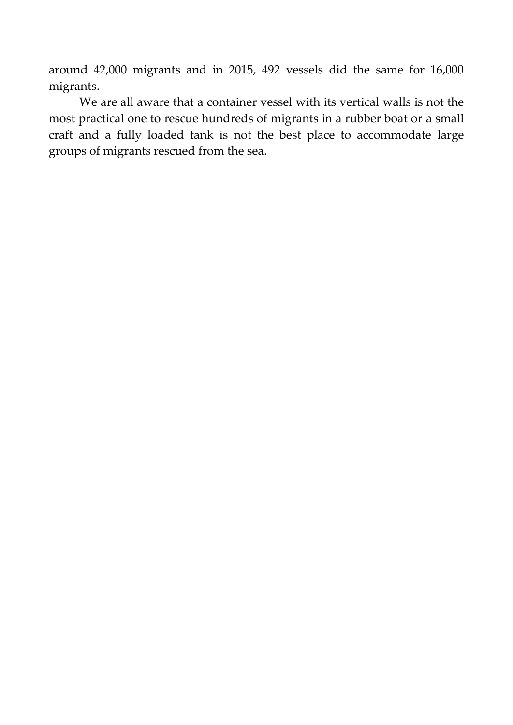around 42,000 migrants and in 2015, 492 vessels did the same for 16,000 migrants.

We are all aware that a container vessel with its vertical walls is not the most practical one to rescue hundreds of migrants in a rubber boat or a small craft and a fully loaded tank is not the best place to accommodate large groups of migrants rescued from the sea.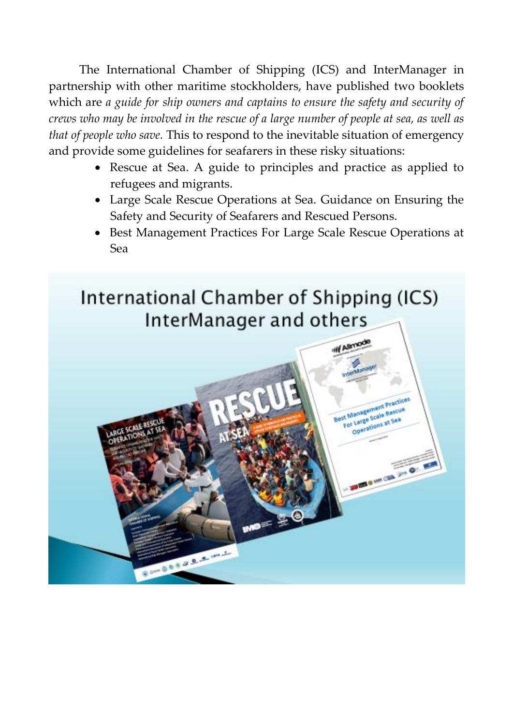The International Chamber of Shipping (ICS) and InterManager in partnership with other maritime stockholders, have published two booklets which are *a guide for ship owners and captains to ensure the safety and security of crews who may be involved in the rescue of a large number of people at sea, as well as that of people who save.* This to respond to the inevitable situation of emergency and provide some guidelines for seafarers in these risky situations:

- Rescue at Sea. A guide to principles and practice as applied to refugees and migrants.
- Large Scale Rescue Operations at Sea. Guidance on Ensuring the Safety and Security of Seafarers and Rescued Persons.
- Best Management Practices For Large Scale Rescue Operations at Sea

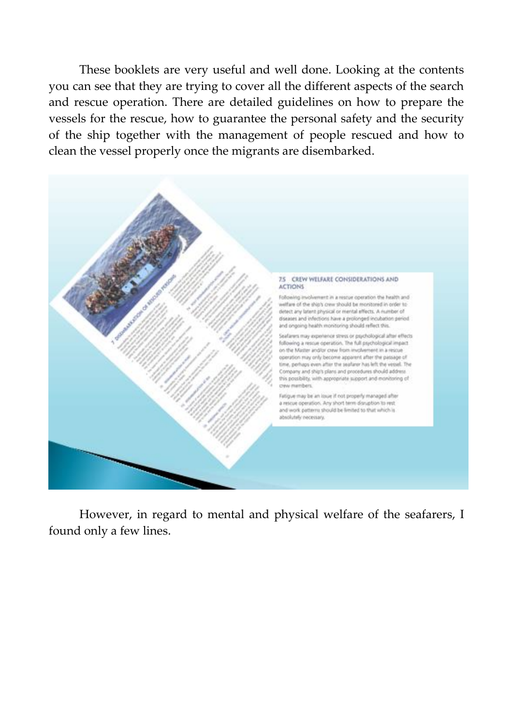These booklets are very useful and well done. Looking at the contents you can see that they are trying to cover all the different aspects of the search and rescue operation. There are detailed guidelines on how to prepare the vessels for the rescue, how to guarantee the personal safety and the security of the ship together with the management of people rescued and how to clean the vessel properly once the migrants are disembarked.



However, in regard to mental and physical welfare of the seafarers, I found only a few lines.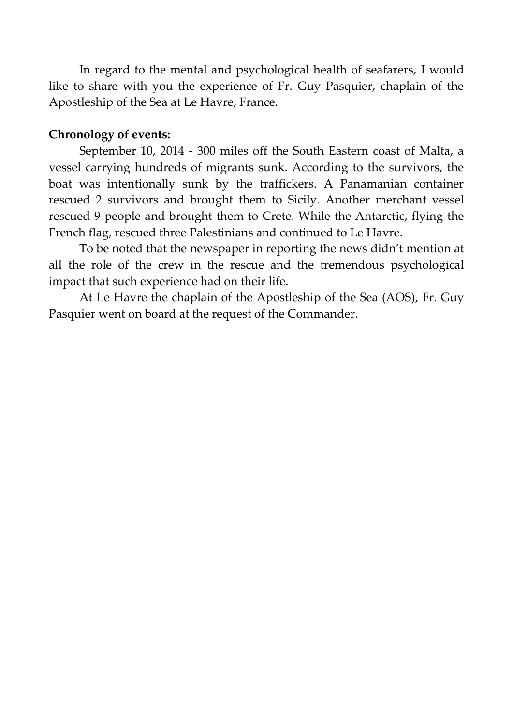In regard to the mental and psychological health of seafarers, I would like to share with you the experience of Fr. Guy Pasquier, chaplain of the Apostleship of the Sea at Le Havre, France.

## **Chronology of events:**

September 10, 2014 - 300 miles off the South Eastern coast of Malta, a vessel carrying hundreds of migrants sunk. According to the survivors, the boat was intentionally sunk by the traffickers. A Panamanian container rescued 2 survivors and brought them to Sicily. Another merchant vessel rescued 9 people and brought them to Crete. While the Antarctic, flying the French flag, rescued three Palestinians and continued to Le Havre.

To be noted that the newspaper in reporting the news didn't mention at all the role of the crew in the rescue and the tremendous psychological impact that such experience had on their life.

At Le Havre the chaplain of the Apostleship of the Sea (AOS), Fr. Guy Pasquier went on board at the request of the Commander.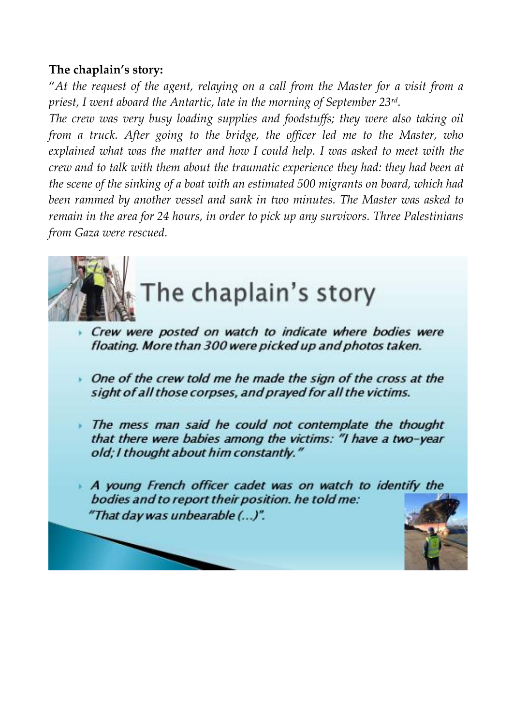## **The chaplain's story:**

"*At the request of the agent, relaying on a call from the Master for a visit from a priest, I went aboard the Antartic, late in the morning of September 23rd .* 

*The crew was very busy loading supplies and foodstuffs; they were also taking oil from a truck. After going to the bridge, the officer led me to the Master, who explained what was the matter and how I could help. I was asked to meet with the crew and to talk with them about the traumatic experience they had: they had been at the scene of the sinking of a boat with an estimated 500 migrants on board, which had been rammed by another vessel and sank in two minutes. The Master was asked to remain in the area for 24 hours, in order to pick up any survivors. Three Palestinians from Gaza were rescued.* 

The chaplain's story

- Crew were posted on watch to indicate where bodies were floating. More than 300 were picked up and photos taken.
- One of the crew told me he made the sign of the cross at the sight of all those corpses, and prayed for all the victims.
- The mess man said he could not contemplate the thought that there were babies among the victims: "I have a two-year old; I thought about him constantly."
- A young French officer cadet was on watch to identify the bodies and to report their position. he told me: "That day was unbearable (...)".

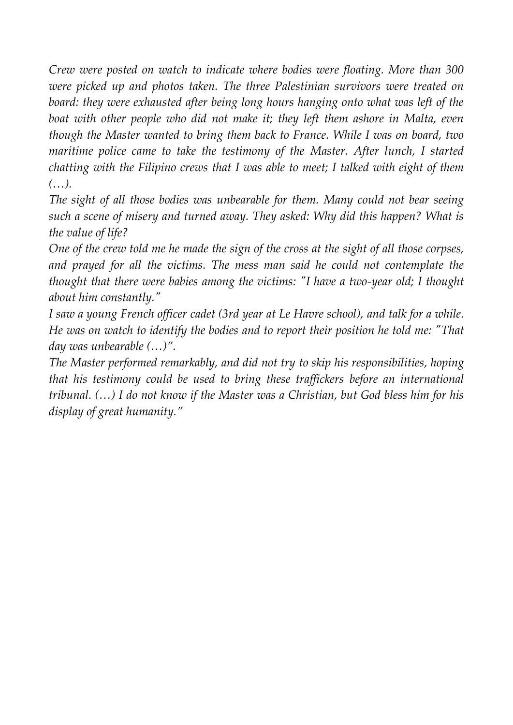*Crew were posted on watch to indicate where bodies were floating. More than 300 were picked up and photos taken. The three Palestinian survivors were treated on board: they were exhausted after being long hours hanging onto what was left of the*  boat with other people who did not make it; they left them ashore in Malta, even *though the Master wanted to bring them back to France. While I was on board, two maritime police came to take the testimony of the Master. After lunch, I started chatting with the Filipino crews that I was able to meet; I talked with eight of them (…).* 

*The sight of all those bodies was unbearable for them. Many could not bear seeing such a scene of misery and turned away. They asked: Why did this happen? What is the value of life?* 

*One of the crew told me he made the sign of the cross at the sight of all those corpses, and prayed for all the victims. The mess man said he could not contemplate the thought that there were babies among the victims: ʺI have a two-year old; I thought about him constantly.*"

*I saw a young French officer cadet (3rd year at Le Havre school), and talk for a while. He was on watch to identify the bodies and to report their position he told me: "That day was unbearable (…)".*

*The Master performed remarkably, and did not try to skip his responsibilities, hoping that his testimony could be used to bring these traffickers before an international tribunal. (…) I do not know if the Master was a Christian, but God bless him for his display of great humanity."*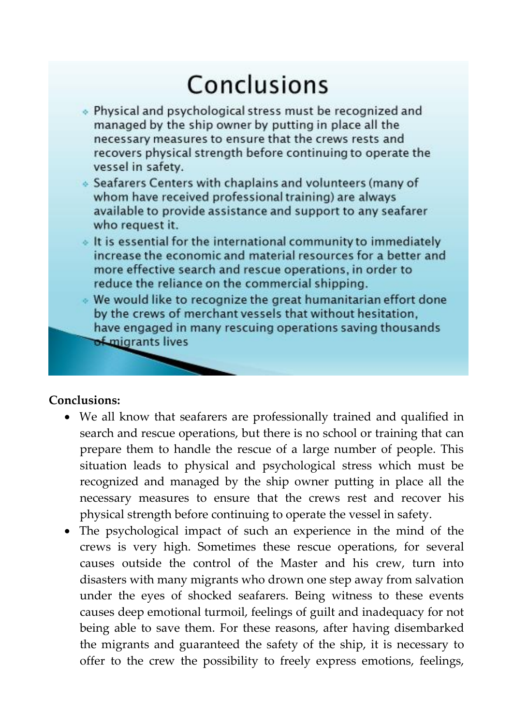# Conclusions

- . Physical and psychological stress must be recognized and managed by the ship owner by putting in place all the necessary measures to ensure that the crews rests and recovers physical strength before continuing to operate the vessel in safety.
- Seafarers Centers with chaplains and volunteers (many of whom have received professional training) are always available to provide assistance and support to any seafarer who request it.
- . It is essential for the international community to immediately increase the economic and material resources for a better and more effective search and rescue operations, in order to reduce the reliance on the commercial shipping.
- . We would like to recognize the great humanitarian effort done by the crews of merchant vessels that without hesitation, have engaged in many rescuing operations saving thousands of migrants lives

### **Conclusions:**

- We all know that seafarers are professionally trained and qualified in search and rescue operations, but there is no school or training that can prepare them to handle the rescue of a large number of people. This situation leads to physical and psychological stress which must be recognized and managed by the ship owner putting in place all the necessary measures to ensure that the crews rest and recover his physical strength before continuing to operate the vessel in safety.
- The psychological impact of such an experience in the mind of the crews is very high. Sometimes these rescue operations, for several causes outside the control of the Master and his crew, turn into disasters with many migrants who drown one step away from salvation under the eyes of shocked seafarers. Being witness to these events causes deep emotional turmoil, feelings of guilt and inadequacy for not being able to save them. For these reasons, after having disembarked the migrants and guaranteed the safety of the ship, it is necessary to offer to the crew the possibility to freely express emotions, feelings,